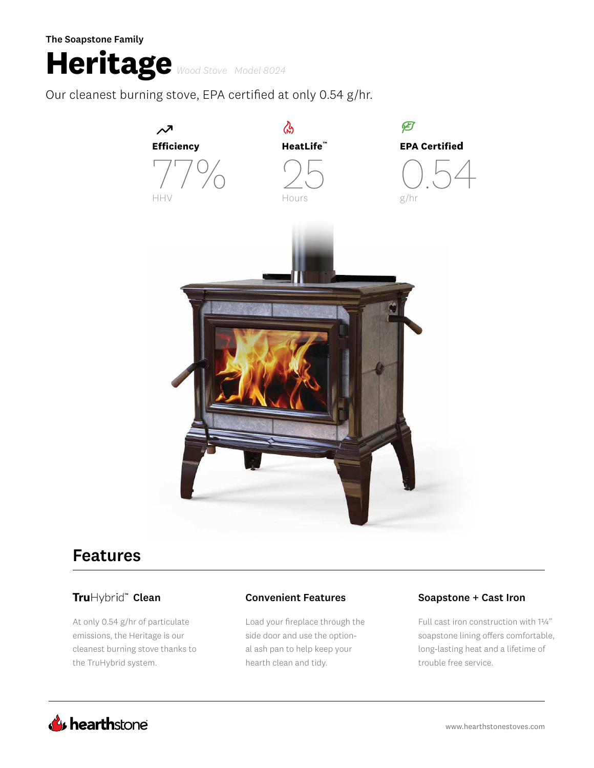The Soapstone Family

# **Heritage** *Wood Stove Model 8024*

Our cleanest burning stove, EPA certified at only 0.54 g/hr.



## Features

At only 0.54 g/hr of particulate emissions, the Heritage is our cleanest burning stove thanks to the TruHybrid system.

Load your fireplace through the side door and use the optional ash pan to help keep your hearth clean and tidy.

### TruHybrid<sup>®</sup> Clean **Convenient Features** Soapstone + Cast Iron

Full cast iron construction with 1¼" soapstone lining offers comfortable, long-lasting heat and a lifetime of trouble free service.